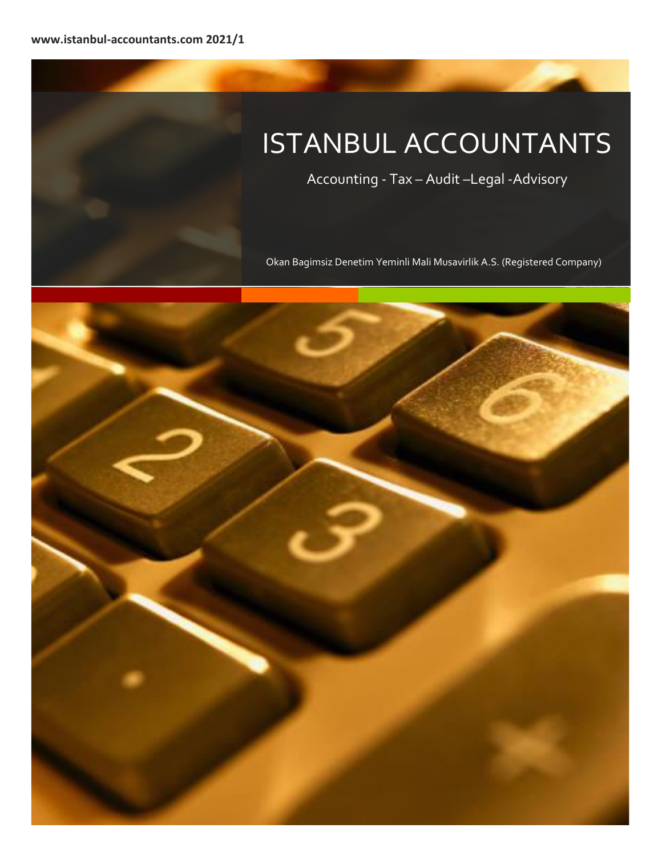# ISTANBUL ACCOUNTANTS

Accounting - Tax – Audit –Legal -Advisory

Okan Bagimsiz Denetim Yeminli Mali Musavirlik A.S. (Registered Company)

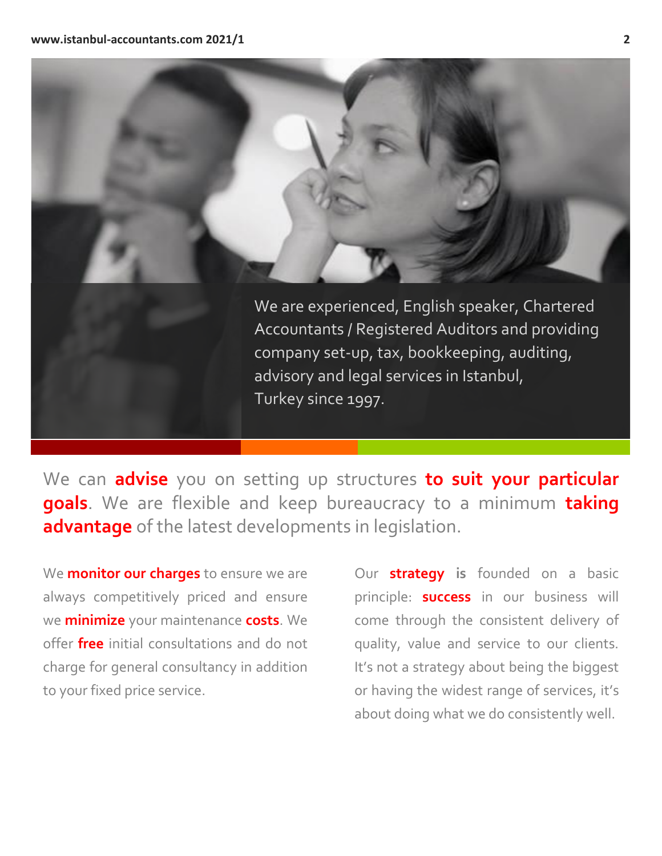

We can **advise** you on setting up structures **to suit your particular goals**. We are flexible and keep bureaucracy to a minimum **taking advantage** of the latest developments in legislation.

We **monitor our charges** to ensure we are always competitively priced and ensure we **minimize** your maintenance **costs**. We offer **free** initial consultations and do not charge for general consultancy in addition to your fixed price service.

Our **strategy is** founded on a basic principle: **success** in our business will come through the consistent delivery of quality, value and service to our clients. It's not a strategy about being the biggest or having the widest range of services, it's about doing what we do consistently well.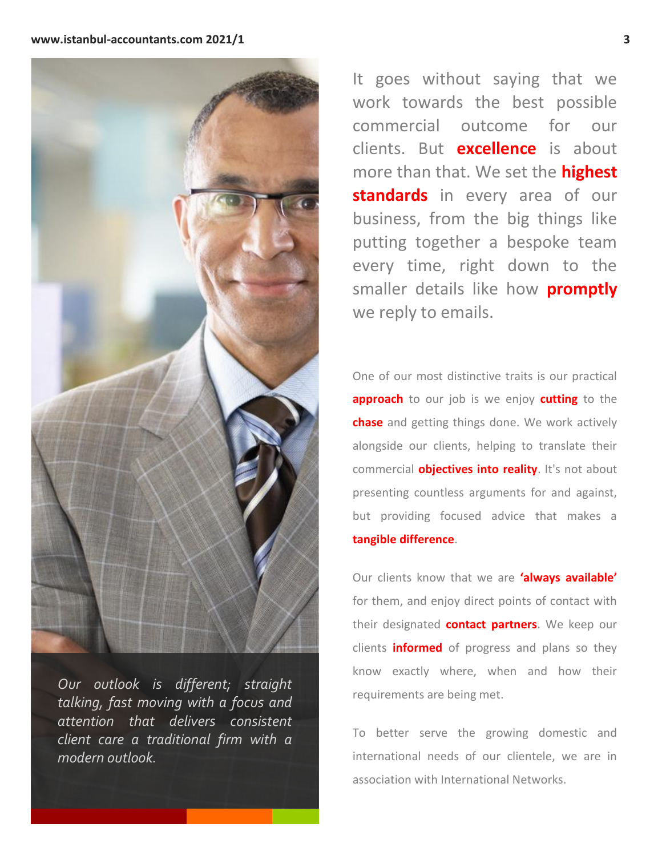

*Our outlook is different; straight talking, fast moving with a focus and attention that delivers consistent client care a traditional firm with a modern outlook.*

It goes without saying that we work towards the best possible commercial outcome for our clients. But **excellence** is about more than that. We set the **highest standards** in every area of our business, from the big things like putting together a bespoke team every time, right down to the smaller details like how **promptly** we reply to emails.

One of our most distinctive traits is our practical **approach** to our job is we enjoy **cutting** to the **chase** and getting things done. We work actively alongside our clients, helping to translate their commercial **objectives into reality**. It's not about presenting countless arguments for and against, but providing focused advice that makes a **tangible difference**.

Our clients know that we are **'always available'** for them, and enjoy direct points of contact with their designated **contact partners**. We keep our clients **informed** of progress and plans so they know exactly where, when and how their requirements are being met.

To better serve the growing domestic and international needs of our clientele, we are in association with International Networks.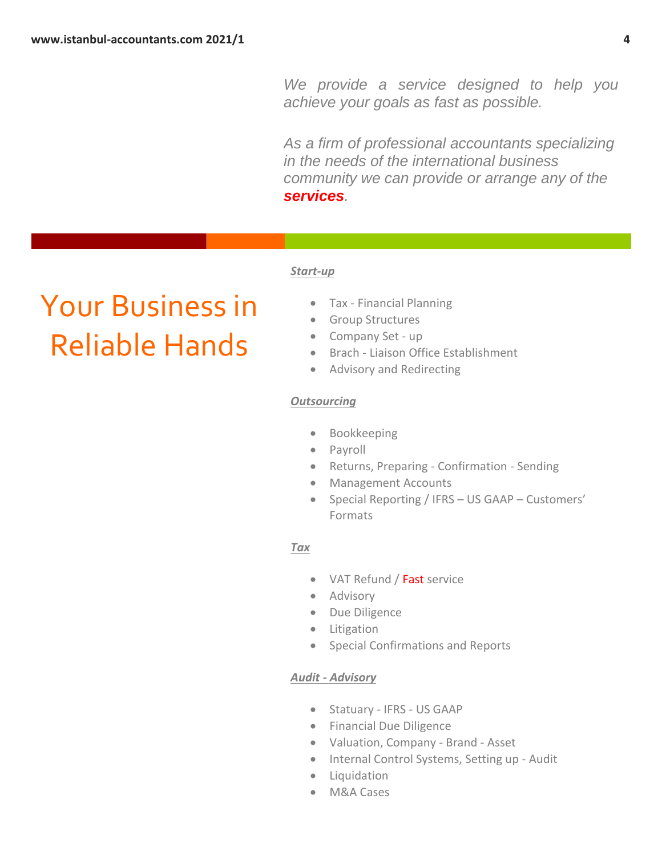*We provide a service designed to help you achieve your goals as fast as possible.* 

*As a firm of professional accountants specializing in the needs of the international business community we can provide or arrange any of the services.*

#### *Start-up*

# Your Business in Reliable Hands

- Tax Financial Planning
- Group Structures
- Company Set up
- Brach Liaison Office Establishment
- Advisory and Redirecting

#### *Outsourcing*

- Bookkeeping
- Payroll
- Returns, Preparing Confirmation Sending
- Management Accounts
- Special Reporting / IFRS US GAAP Customers' Formats

### *Tax*

- VAT Refund / Fast service
- Advisory
- Due Diligence
- Litigation
- Special Confirmations and Reports

### *Audit - Advisory*

- Statuary IFRS US GAAP
- Financial Due Diligence
- Valuation, Company Brand Asset
- Internal Control Systems, Setting up Audit
- Liquidation
- M&A Cases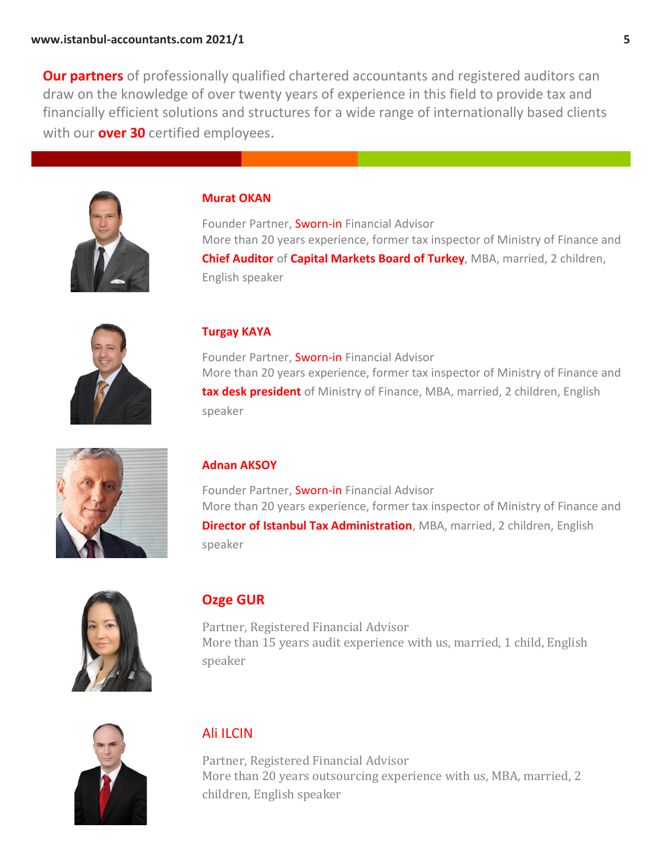**Our partners** of professionally qualified chartered accountants and registered auditors can draw on the knowledge of over twenty years of experience in this field to provide tax and financially efficient solutions and structures for a wide range of internationally based clients with our **over 30** certified employees.



### **Murat OKAN**

Founder Partner, Sworn-in Financial Advisor More than 20 years experience, former tax inspector of Ministry of Finance and **Chief Auditor** of **Capital Markets Board of Turkey**, MBA, married, 2 children, English speaker



## **Turgay KAYA**

Founder Partner, Sworn-in Financial Advisor More than 20 years experience, former tax inspector of Ministry of Finance and **tax desk president** of Ministry of Finance, MBA, married, 2 children, English speaker



## **Adnan AKSOY**

Founder Partner, Sworn-in Financial Advisor More than 20 years experience, former tax inspector of Ministry of Finance and **Director of Istanbul Tax Administration**, MBA, married, 2 children, English speaker



# **Ozge GUR**

Partner, Registered Financial Advisor More than 15 years audit experience with us, married, 1 child, English speaker



# Ali ILCIN

Partner, Registered Financial Advisor More than 20 years outsourcing experience with us, MBA, married, 2 children, English speaker